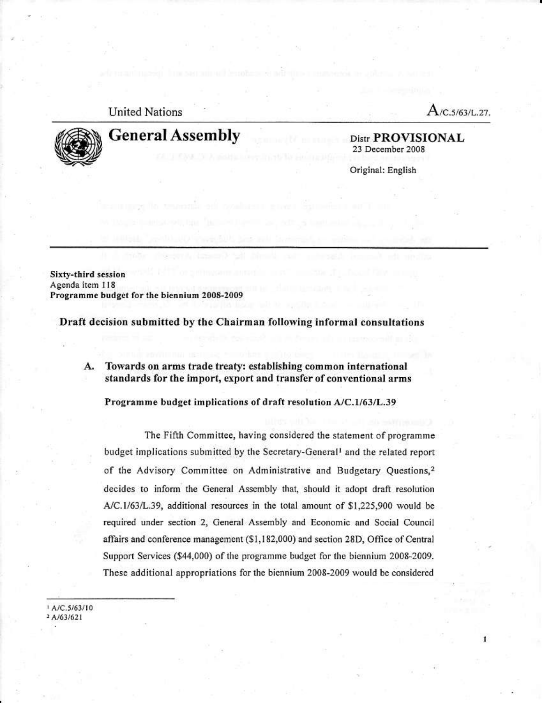## **United Nations**

 $A$ /C.5/63/L.27.



# **General Assembly**

Distr PROVISIONAL 23 December 2008

Original: English

Sixty-third session Agenda item 118 Programme budget for the biennium 2008-2009

Draft decision submitted by the Chairman following informal consultations

A. Towards on arms trade treaty: establishing common international standards for the import, export and transfer of conventional arms

Programme budget implications of draft resolution A/C.1/63/L.39

The Fifth Committee, having considered the statement of programme budget implications submitted by the Secretary-General<sup>1</sup> and the related report of the Advisory Committee on Administrative and Budgetary Questions,<sup>2</sup> decides to inform the General Assembly that, should it adopt draft resolution A/C.1/63/L.39, additional resources in the total amount of \$1,225,900 would be required under section 2, General Assembly and Economic and Social Council affairs and conference management (\$1,182,000) and section 28D, Office of Central Support Services (\$44,000) of the programme budget for the biennium 2008-2009. These additional appropriations for the biennium 2008-2009 would be considered

 $A/C.5/63/10$  $2A/63/621$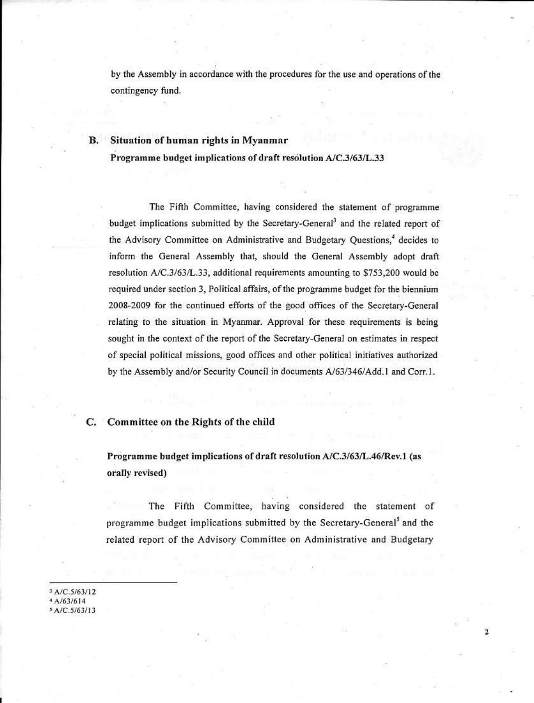by the Assembly in accordance with the procedures for the use and operations of the contingency fund.

#### Situation of human rights in Myanmar В.

Programme budget implications of draft resolution A/C.3/63/L.33

The Fifth Committee, having considered the statement of programme budget implications submitted by the Secretary-General<sup>3</sup> and the related report of the Advisory Committee on Administrative and Budgetary Ouestions,<sup>4</sup> decides to inform the General Assembly that, should the General Assembly adopt draft resolution A/C.3/63/L.33, additional requirements amounting to \$753,200 would be required under section 3, Political affairs, of the programme budget for the biennium 2008-2009 for the continued efforts of the good offices of the Secretary-General relating to the situation in Myanmar. Approval for these requirements is being sought in the context of the report of the Secretary-General on estimates in respect of special political missions, good offices and other political initiatives authorized by the Assembly and/or Security Council in documents A/63/346/Add.1 and Corr.1.

#### Committee on the Rights of the child C.

Programme budget implications of draft resolution A/C.3/63/L.46/Rev.1 (as orally revised)

The Fifth Committee, having considered the statement of programme budget implications submitted by the Secretary-General<sup>5</sup> and the related report of the Advisory Committee on Administrative and Budgetary

3 A/C.5/63/12 A/63/614 5 A/C.5/63/13

 $\overline{\mathbf{z}}$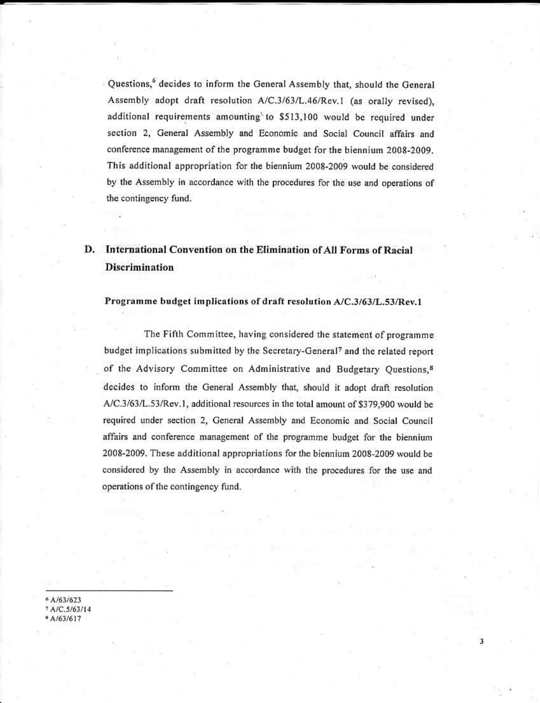Questions,<sup>6</sup> decides to inform the General Assembly that, should the General Assembly adopt draft resolution A/C.3/63/L.46/Rev.1 (as orally revised), additional requirements amounting to \$513,100 would be required under section 2, General Assembly and Economic and Social Council affairs and conference management of the programme budget for the biennium 2008-2009. This additional appropriation for the biennium 2008-2009 would be considered by the Assembly in accordance with the procedures for the use and operations of the contingency fund.

# D. International Convention on the Elimination of All Forms of Racial **Discrimination**

### Programme budget implications of draft resolution A/C.3/63/L.53/Rev.1

The Fifth Committee, having considered the statement of programme budget implications submitted by the Secretary-General<sup>7</sup> and the related report of the Advisory Committee on Administrative and Budgetary Questions,<sup>8</sup> decides to inform the General Assembly that, should it adopt draft resolution A/C.3/63/L.53/Rev.1, additional resources in the total amount of \$379,900 would be required under section 2, General Assembly and Economic and Social Council affairs and conference management of the programme budget for the biennium 2008-2009. These additional appropriations for the biennium 2008-2009 would be considered by the Assembly in accordance with the procedures for the use and operations of the contingency fund.

3

A/63/623 A/C.5/63/14 A/63/617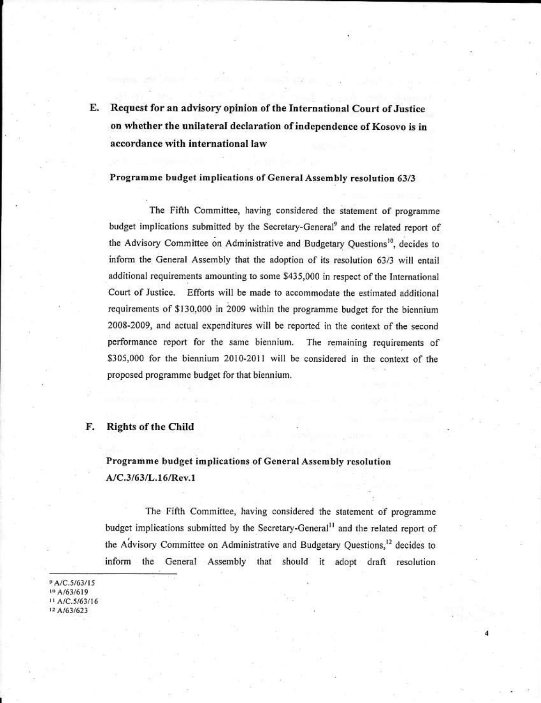Request for an advisory opinion of the International Court of Justice Е. on whether the unilateral declaration of independence of Kosovo is in accordance with international law

### Programme budget implications of General Assembly resolution 63/3

The Fifth Committee, having considered the statement of programme budget implications submitted by the Secretary-General<sup>9</sup> and the related report of the Advisory Committee on Administrative and Budgetary Ouestions<sup>10</sup>, decides to inform the General Assembly that the adoption of its resolution 63/3 will entail additional requirements amounting to some \$435,000 in respect of the International Court of Justice. Efforts will be made to accommodate the estimated additional requirements of \$130,000 in 2009 within the programme budget for the biennium 2008-2009, and actual expenditures will be reported in the context of the second performance report for the same biennium. The remaining requirements of \$305,000 for the biennium 2010-2011 will be considered in the context of the proposed programme budget for that biennium.

#### **Rights of the Child** F.

# Programme budget implications of General Assembly resolution A/C.3/63/L.16/Rev.1

The Fifth Committee, having considered the statement of programme budget implications submitted by the Secretary-General<sup>11</sup> and the related report of the Advisory Committee on Administrative and Budgetary Ouestions.<sup>12</sup> decides to inform the General Assembly that should it adopt draft resolution

A/C.5/63/15 <sup>10</sup> A/63/619 <sup>11</sup> A/C.5/63/16 12 A/63/623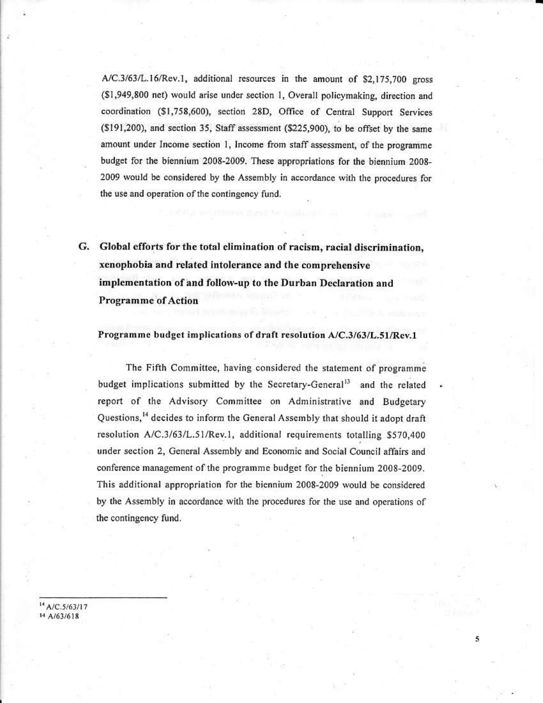A/C.3/63/L.16/Rev.1, additional resources in the amount of \$2,175,700 gross (\$1,949,800 net) would arise under section 1, Overall policymaking, direction and coordination (\$1,758,600), section 28D, Office of Central Support Services (\$191,200), and section 35, Staff assessment (\$225,900), to be offset by the same amount under Income section 1, Income from staff assessment, of the programme budget for the biennium 2008-2009. These appropriations for the biennium 2008-2009 would be considered by the Assembly in accordance with the procedures for the use and operation of the contingency fund.

G. Global efforts for the total elimination of racism, racial discrimination, xenophobia and related intolerance and the comprehensive implementation of and follow-up to the Durban Declaration and **Programme of Action** 

### Programme budget implications of draft resolution A/C.3/63/L.51/Rev.1

The Fifth Committee, having considered the statement of programme budget implications submitted by the Secretary-General<sup>13</sup> and the related report of the Advisory Committee on Administrative and Budgetary Ouestions.<sup>14</sup> decides to inform the General Assembly that should it adopt draft resolution A/C.3/63/L.51/Rev.1, additional requirements totalling \$570,400 under section 2, General Assembly and Economic and Social Council affairs and conference management of the programme budget for the biennium 2008-2009. This additional appropriation for the biennium 2008-2009 would be considered by the Assembly in accordance with the procedures for the use and operations of the contingency fund.

5

<sup>14</sup> A/C.5/63/17 14 A/63/618